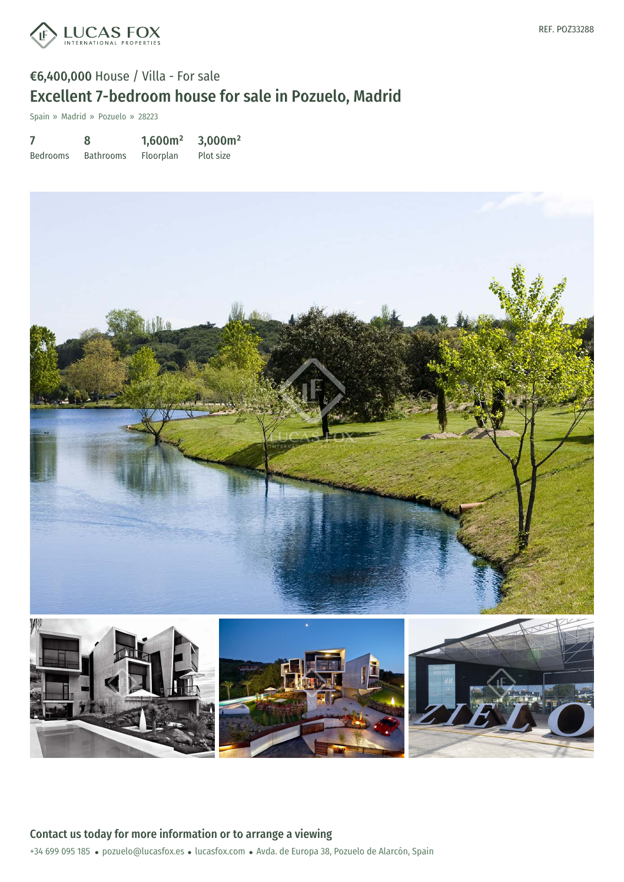

## €6,400,000 House / Villa - For sale Excellent 7-bedroom house for sale in Pozuelo, Madrid

Spain » Madrid » Pozuelo » 28223

7 Bedrooms 8 Bathrooms 1,600m² Floorplan 3,000m² Plot size

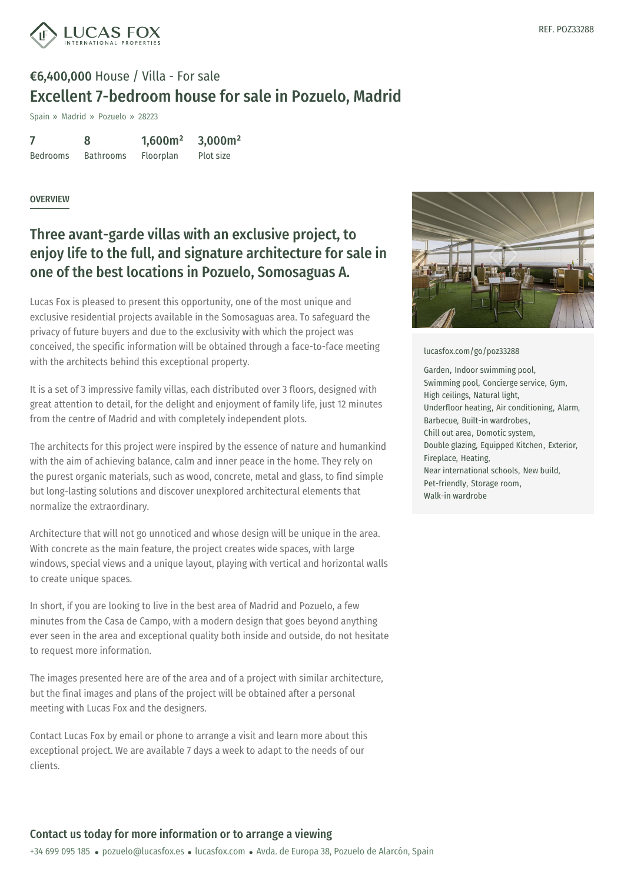

## €6,400,000 House / Villa - For sale Excellent 7-bedroom house for sale in Pozuelo, Madrid

Spain » Madrid » Pozuelo » 28223

|                 | 8                | 1,600m <sup>2</sup> | 3,000m <sup>2</sup> |
|-----------------|------------------|---------------------|---------------------|
| <b>Bedrooms</b> | <b>Bathrooms</b> | Floorplan           | Plot size           |

#### **OVERVIEW**

## Three avant-garde villas with an exclusive project, to enjoy life to the full, and signature architecture for sale in one of the best locations in Pozuelo, Somosaguas A.

Lucas Fox is pleased to present this opportunity, one of the most unique and exclusive residential projects available in the Somosaguas area. To safeguard the privacy of future buyers and due to the exclusivity with which the project was conceived, the specific information will be obtained through a face-to-face meeting with the architects behind this exceptional property.

It is a set of 3 impressive family villas, each distributed over 3 floors, designed with great attention to detail, for the delight and enjoyment of family life, just 12 minutes from the centre of Madrid and with completely independent plots.

The architects for this project were inspired by the essence of nature and humankind with the aim of achieving balance, calm and inner peace in the home. They rely on the purest organic materials, such as wood, concrete, metal and glass, to find simple but long-lasting solutions and discover unexplored architectural elements that normalize the extraordinary.

Architecture that will not go unnoticed and whose design will be unique in the area. With concrete as the main feature, the project creates wide spaces, with large windows, special views and a unique layout, playing with vertical and horizontal walls to create unique spaces.

In short, if you are looking to live in the best area of Madrid and Pozuelo, a few minutes from the Casa de Campo, with a modern design that goes beyond anything ever seen in the area and exceptional quality both inside and outside, do not hesitate to request more i[nformation.](mailto:pozuelo@lucasfox.es)

The images presented here are of the area and of a project with similar architecture, but the final images and plans of the project will be obtained after a personal meeting with Lucas Fox and the designers.

Contact Lucas Fox by email or phone to arrange a visit and learn more about this exceptional project. We are available 7 days a week to adapt to the needs of our clients.



#### [lucasfox.com/go/poz33288](https://www.lucasfox.com/go/poz33288)

Garden, Indoor swimming pool, Swimming pool, Concierge service, Gym, High ceilings, Natural light, Underfloor heating, Air conditioning, Alarm, Barbecue, Built-in wardrobes, Chill out area, Domotic system, Double glazing, Equipped Kitchen, Exterior, Fireplace, Heating, Near international schools, New build, Pet-friendly, Storage room, Walk-in wardrobe

### Contact us today for more information or to arrange a viewing

+34 699 095 185 · pozuelo@lucasfox.es · lucasfox.com · Avda. de Europa 38, Pozuelo de Alarcón, Spain